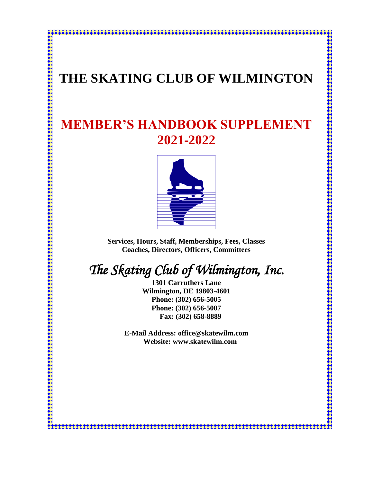## **THE SKATING CLUB OF WILMINGTON**

\*\*\*\*\*\*\*\*\*\*\*\*\*\*\*

## **MEMBER'S HANDBOOK SUPPLEMENT 2021-2022**



**Services, Hours, Staff, Memberships, Fees, Classes Coaches, Directors, Officers, Committees**

# *The Skating Club of Wilmington, Inc.*

**1301 Carruthers Lane Wilmington, DE 19803-4601 Phone: (302) 656-5005 Phone: (302) 656-5007 Fax: (302) 658-8889**

**E-Mail Address: office@skatewilm.com Website: www.skatewilm.com**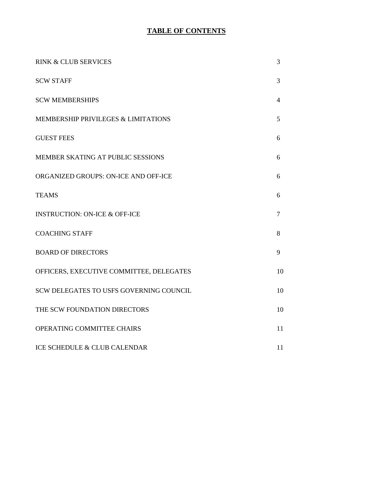## **TABLE OF CONTENTS**

| <b>RINK &amp; CLUB SERVICES</b>          | 3              |
|------------------------------------------|----------------|
| <b>SCW STAFF</b>                         | 3              |
| <b>SCW MEMBERSHIPS</b>                   | $\overline{4}$ |
| MEMBERSHIP PRIVILEGES & LIMITATIONS      | 5              |
| <b>GUEST FEES</b>                        | 6              |
| MEMBER SKATING AT PUBLIC SESSIONS        | 6              |
| ORGANIZED GROUPS: ON-ICE AND OFF-ICE     | 6              |
| <b>TEAMS</b>                             | 6              |
| <b>INSTRUCTION: ON-ICE &amp; OFF-ICE</b> | 7              |
| <b>COACHING STAFF</b>                    | 8              |
| <b>BOARD OF DIRECTORS</b>                | 9              |
| OFFICERS, EXECUTIVE COMMITTEE, DELEGATES | 10             |
| SCW DELEGATES TO USFS GOVERNING COUNCIL  | 10             |
| THE SCW FOUNDATION DIRECTORS             | 10             |
| OPERATING COMMITTEE CHAIRS               | 11             |
| ICE SCHEDULE & CLUB CALENDAR             | 11             |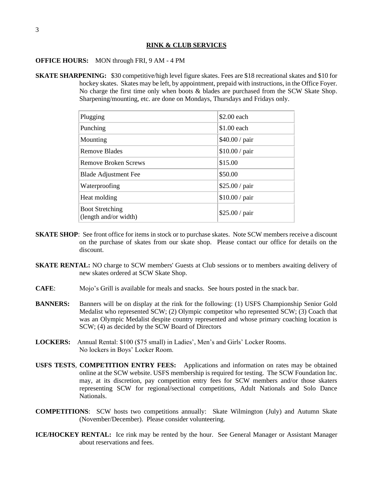#### **RINK & CLUB SERVICES**

#### **OFFICE HOURS:** MON through FRI, 9 AM - 4 PM

**SKATE SHARPENING:** \$30 competitive/high level figure skates. Fees are \$18 recreational skates and \$10 for hockey skates. Skates may be left, by appointment, prepaid with instructions, in the Office Foyer. No charge the first time only when boots & blades are purchased from the SCW Skate Shop. Sharpening/mounting, etc. are done on Mondays, Thursdays and Fridays only.

| Plugging                                        | \$2.00 each    |
|-------------------------------------------------|----------------|
| Punching                                        | $$1.00$ each   |
| Mounting                                        | \$40.00 / pair |
| Remove Blades                                   | \$10.00 / pair |
| <b>Remove Broken Screws</b>                     | \$15.00        |
| <b>Blade Adjustment Fee</b>                     | \$50.00        |
| Waterproofing                                   | \$25.00 / pair |
| Heat molding                                    | \$10.00 / pair |
| <b>Boot Stretching</b><br>(length and/or width) | \$25.00 / pair |

- **SKATE SHOP**: See front office for items in stock or to purchase skates. Note SCW members receive a discount on the purchase of skates from our skate shop. Please contact our office for details on the discount.
- **SKATE RENTAL:** NO charge to SCW members' Guests at Club sessions or to members awaiting delivery of new skates ordered at SCW Skate Shop.
- **CAFE**: Mojo's Grill is available for meals and snacks. See hours posted in the snack bar.
- **BANNERS:** Banners will be on display at the rink for the following: (1) USFS Championship Senior Gold Medalist who represented SCW; (2) Olympic competitor who represented SCW; (3) Coach that was an Olympic Medalist despite country represented and whose primary coaching location is SCW; (4) as decided by the SCW Board of Directors
- **LOCKERS:** Annual Rental: \$100 (\$75 small) in Ladies', Men's and Girls' Locker Rooms. No lockers in Boys' Locker Room.
- **USFS TESTS**, **COMPETITION ENTRY FEES:** Applications and information on rates may be obtained online at the SCW website. USFS membership is required for testing. The SCW Foundation Inc. may, at its discretion, pay competition entry fees for SCW members and/or those skaters representing SCW for regional/sectional competitions, Adult Nationals and Solo Dance Nationals.
- **COMPETITIONS**: SCW hosts two competitions annually: Skate Wilmington (July) and Autumn Skate (November/December). Please consider volunteering.
- **ICE/HOCKEY RENTAL:** Ice rink may be rented by the hour. See General Manager or Assistant Manager about reservations and fees.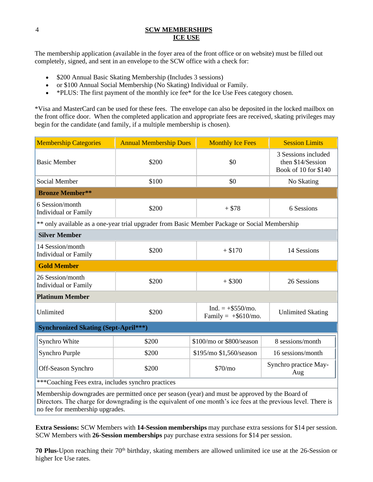#### 4 **SCW MEMBERSHIPS ICE USE**

The membership application (available in the foyer area of the front office or on website) must be filled out completely, signed, and sent in an envelope to the SCW office with a check for:

- \$200 Annual Basic Skating Membership (Includes 3 sessions)
- or \$100 Annual Social Membership (No Skating) Individual or Family.
- \*PLUS: The first payment of the monthly ice fee\* for the Ice Use Fees category chosen.

\*Visa and MasterCard can be used for these fees. The envelope can also be deposited in the locked mailbox on the front office door. When the completed application and appropriate fees are received, skating privileges may begin for the candidate (and family, if a multiple membership is chosen).

| <b>Membership Categories</b>                                                                    | <b>Annual Membership Dues</b> | <b>Monthly Ice Fees</b>                       | <b>Session Limits</b>                                            |
|-------------------------------------------------------------------------------------------------|-------------------------------|-----------------------------------------------|------------------------------------------------------------------|
| <b>Basic Member</b>                                                                             | \$200                         | \$0                                           | 3 Sessions included<br>then \$14/Session<br>Book of 10 for \$140 |
| Social Member                                                                                   | \$100                         | \$0                                           | No Skating                                                       |
| <b>Bronze Member**</b>                                                                          |                               |                                               |                                                                  |
| 6 Session/month<br>Individual or Family                                                         | \$200                         | $+ $78$                                       | 6 Sessions                                                       |
| ** only available as a one-year trial upgrader from Basic Member Package or Social Membership   |                               |                                               |                                                                  |
| <b>Silver Member</b>                                                                            |                               |                                               |                                                                  |
| 14 Session/month<br>Individual or Family                                                        | \$200                         | $+ $170$                                      | 14 Sessions                                                      |
| <b>Gold Member</b>                                                                              |                               |                                               |                                                                  |
| 26 Session/month<br>Individual or Family                                                        | \$200                         | $+$ \$300                                     | 26 Sessions                                                      |
| <b>Platinum Member</b>                                                                          |                               |                                               |                                                                  |
| Unlimited                                                                                       | \$200                         | $Ind. = +\$550/mo.$<br>Family = $+$ \$610/mo. | <b>Unlimited Skating</b>                                         |
| <b>Synchronized Skating (Sept-April***)</b>                                                     |                               |                                               |                                                                  |
| Synchro White                                                                                   | \$200                         | \$100/mo or \$800/season                      | 8 sessions/month                                                 |
| Synchro Purple                                                                                  | \$200                         | \$195/mo \$1,560/season                       | 16 sessions/month                                                |
| Off-Season Synchro                                                                              | \$200                         | \$70/mo                                       | Synchro practice May-<br>Aug                                     |
| ***Coaching Fees extra, includes synchro practices                                              |                               |                                               |                                                                  |
| Membership downgrades are permitted once per season (year) and must be approved by the Board of |                               |                                               |                                                                  |

Directors. The charge for downgrading is the equivalent of one month's ice fees at the previous level. There is no fee for membership upgrades.

**Extra Sessions:** SCW Members with **14-Session memberships** may purchase extra sessions for \$14 per session. SCW Members with **26-Session memberships** pay purchase extra sessions for \$14 per session.

**70 Plus-**Upon reaching their 70<sup>th</sup> birthday, skating members are allowed unlimited ice use at the 26-Session or higher Ice Use rates.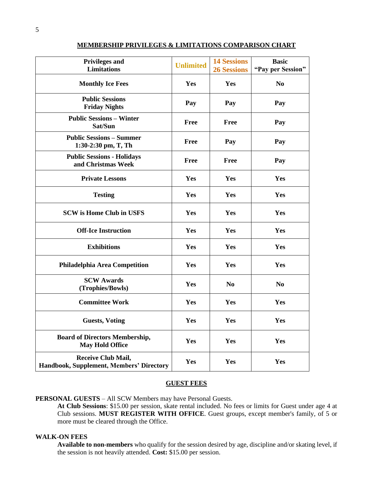| <b>Privileges and</b><br><b>Limitations</b>                           | <b>Unlimited</b> | <b>14 Sessions</b><br><b>26 Sessions</b> | <b>Basic</b><br>"Pay per Session" |
|-----------------------------------------------------------------------|------------------|------------------------------------------|-----------------------------------|
| <b>Monthly Ice Fees</b>                                               | Yes              | Yes                                      | N <sub>0</sub>                    |
| <b>Public Sessions</b><br><b>Friday Nights</b>                        | Pay              | Pay                                      | Pay                               |
| <b>Public Sessions - Winter</b><br>Sat/Sun                            | Free             | <b>Free</b>                              | Pay                               |
| <b>Public Sessions - Summer</b><br>1:30-2:30 pm, T, Th                | Free             | Pay                                      | Pay                               |
| <b>Public Sessions - Holidays</b><br>and Christmas Week               | Free             | <b>Free</b>                              | Pay                               |
| <b>Private Lessons</b>                                                | Yes              | Yes                                      | Yes                               |
| <b>Testing</b>                                                        | Yes              | Yes                                      | Yes                               |
| <b>SCW</b> is Home Club in USFS                                       | Yes              | Yes                                      | Yes                               |
| <b>Off-Ice Instruction</b>                                            | Yes              | Yes                                      | Yes                               |
| <b>Exhibitions</b>                                                    | Yes              | Yes                                      | Yes                               |
| Philadelphia Area Competition                                         | Yes              | Yes                                      | Yes                               |
| <b>SCW Awards</b><br>(Trophies/Bowls)                                 | Yes              | N <sub>0</sub>                           | N <sub>0</sub>                    |
| <b>Committee Work</b>                                                 | Yes              | Yes                                      | Yes                               |
| <b>Guests</b> , Voting                                                | Yes              | Yes                                      | Yes                               |
| <b>Board of Directors Membership,</b><br><b>May Hold Office</b>       | Yes              | Yes                                      | Yes                               |
| <b>Receive Club Mail,</b><br>Handbook, Supplement, Members' Directory | Yes              | Yes                                      | Yes                               |

#### **MEMBERSHIP PRIVILEGES & LIMITATIONS COMPARISON CHART**

#### **GUEST FEES**

**PERSONAL GUESTS** – All SCW Members may have Personal Guests.

**At Club Sessions**: \$15.00 per session, skate rental included. No fees or limits for Guest under age 4 at Club sessions. **MUST REGISTER WITH OFFICE**. Guest groups, except member's family, of 5 or more must be cleared through the Office.

#### **WALK-ON FEES**

**Available to non-members** who qualify for the session desired by age, discipline and/or skating level, if the session is not heavily attended. **Cost:** \$15.00 per session.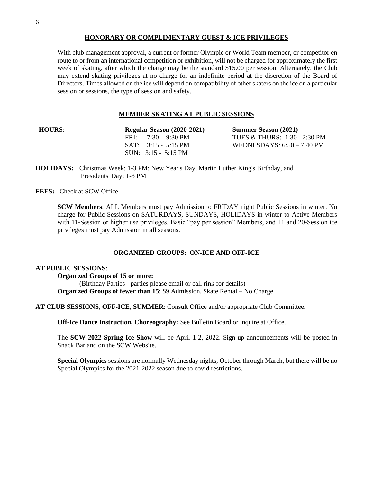#### **HONORARY OR COMPLIMENTARY GUEST & ICE PRIVILEGES**

With club management approval, a current or former Olympic or World Team member, or competitor en route to or from an international competition or exhibition, will not be charged for approximately the first week of skating, after which the charge may be the standard \$15.00 per session. Alternately, the Club may extend skating privileges at no charge for an indefinite period at the discretion of the Board of Directors. Times allowed on the ice will depend on compatibility of other skaters on the ice on a particular session or sessions, the type of session and safety.

#### **MEMBER SKATING AT PUBLIC SESSIONS**

**HOURS: Regular Season (2020-2021) Summer Season (2021)** SUN: 3:15 - 5:15 PM

FRI: 7:30 - 9:30 PM TUES & THURS: 1:30 - 2:30 PM SAT: 3:15 - 5:15 PM WEDNESDAYS: 6:50 – 7:40 PM

**HOLIDAYS:** Christmas Week: 1-3 PM; New Year's Day, Martin Luther King's Birthday, and Presidents' Day: 1-3 PM

**FEES:** Check at SCW Office

**SCW Members**: ALL Members must pay Admission to FRIDAY night Public Sessions in winter. No charge for Public Sessions on SATURDAYS, SUNDAYS, HOLIDAYS in winter to Active Members with 11-Session or higher use privileges. Basic "pay per session" Members, and 11 and 20-Session ice privileges must pay Admission in **all** seasons.

## **ORGANIZED GROUPS: ON-ICE AND OFF-ICE**

#### **AT PUBLIC SESSIONS**:

**Organized Groups of 15 or more:** (Birthday Parties - parties please email or call rink for details) **Organized Groups of fewer than 15**: \$9 Admission, Skate Rental – No Charge.

**AT CLUB SESSIONS, OFF-ICE, SUMMER**: Consult Office and/or appropriate Club Committee.

**Off-Ice Dance Instruction, Choreography:** See Bulletin Board or inquire at Office.

The **SCW 2022 Spring Ice Show** will be April 1-2, 2022. Sign-up announcements will be posted in Snack Bar and on the SCW Website.

**Special Olympics** sessions are normally Wednesday nights, October through March, but there will be no Special Olympics for the 2021-2022 season due to covid restrictions.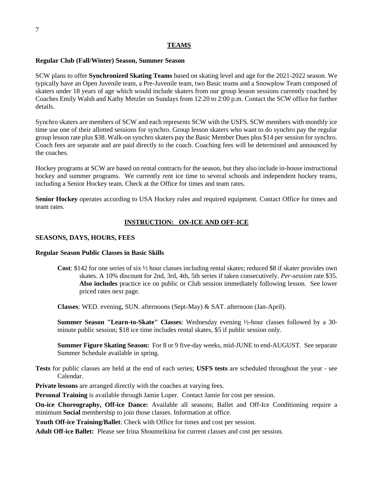## **TEAMS**

#### **Regular Club (Fall/Winter) Season, Summer Season**

SCW plans to offer **Synchronized Skating Teams** based on skating level and age for the 2021-2022 season. We typically have an Open Juvenile team, a Pre-Juvenile team, two Basic teams and a Snowplow Team composed of skaters under 18 years of age which would include skaters from our group lesson sessions currently coached by Coaches Emily Walsh and Kathy Metzler on Sundays from 12:20 to 2:00 p.m. Contact the SCW office for further details.

Synchro skaters are members of SCW and each represents SCW with the USFS. SCW members with monthly ice time use one of their allotted sessions for synchro. Group lesson skaters who want to do synchro pay the regular group lesson rate plus \$38. Walk-on synchro skaters pay the Basic Member Dues plus \$14 per session for synchro. Coach fees are separate and are paid directly to the coach. Coaching fees will be determined and announced by the coaches.

Hockey programs at SCW are based on rental contracts for the season, but they also include in-house instructional hockey and summer programs. We currently rent ice time to several schools and independent hockey teams, including a Senior Hockey team. Check at the Office for times and team rates.

**Senior Hockey** operates according to USA Hockey rules and required equipment. Contact Office for times and team rates.

#### **INSTRUCTION: ON-ICE AND OFF-ICE**

#### **SEASONS, DAYS, HOURS, FEES**

#### **Regular Season Public Classes in Basic Skills**

**Cost**: \$142 for one series of six  $\frac{1}{2}$  hour classes including rental skates; reduced \$8 if skater provides own skates. A 10% discount for 2nd, 3rd, 4th, 5th series if taken consecutively. *Per-session* rate \$35. **Also includes** practice ice on public or Club session immediately following lesson. See lower priced rates next page.

**Classes**: WED. evening, SUN. afternoons (Sept-May) & SAT. afternoon (Jan-April).

**Summer Season "Learn-to-Skate" Classes**: Wednesday evening ½-hour classes followed by a 30 minute public session; \$18 ice time includes rental skates, \$5 if public session only.

**Summer Figure Skating Season:** For 8 or 9 five-day weeks, mid-JUNE to end-AUGUST. See separate Summer Schedule available in spring.

**Tests** for public classes are held at the end of each series; **USFS tests** are scheduled throughout the year - see Calendar.

**Private lessons** are arranged directly with the coaches at varying fees.

**Personal Training** is available through Jamie Loper. Contact Jamie for cost per session.

**On-ice Choreography, Off-ice Dance:** Available all seasons; Ballet and Off-Ice Conditioning require a minimum **Social** membership to join those classes. Information at office.

**Youth Off-ice Training/Ballet**: Check with Office for times and cost per session.

**Adult Off-ice Ballet:** Please see Irina Shoumeikina for current classes and cost per session.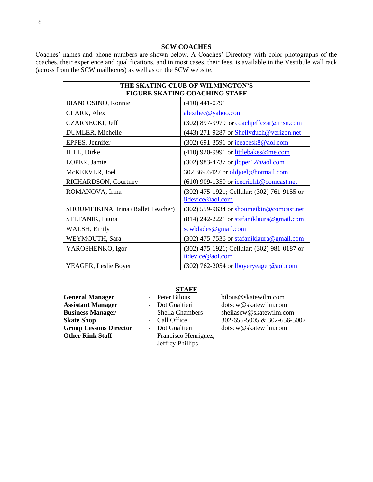#### **SCW COACHES**

Coaches' names and phone numbers are shown below. A Coaches' Directory with color photographs of the coaches, their experience and qualifications, and in most cases, their fees, is available in the Vestibule wall rack (across from the SCW mailboxes) as well as on the SCW website.

| THE SKATING CLUB OF WILMINGTON'S<br><b>FIGURE SKATING COACHING STAFF</b> |                                                                 |
|--------------------------------------------------------------------------|-----------------------------------------------------------------|
| BIANCOSINO, Ronnie                                                       | $(410)$ 441-0791                                                |
| CLARK, Alex                                                              | alexthec@yahoo.com                                              |
| <b>CZARNECKI</b> , Jeff                                                  | (302) 897-9979 or coachieffczar@msn.com                         |
| DUMLER, Michelle                                                         | (443) 271-9287 or Shellyduch@verizon.net                        |
| EPPES, Jennifer                                                          | $(302)$ 691-3591 or iceacesk8@aol.com                           |
| HILL, Dirke                                                              | $(410)$ 920-9991 or littlebakes@me.com                          |
| LOPER, Jamie                                                             | (302) 983-4737 or iloper12@aol.com                              |
| McKEEVER, Joel                                                           | 302.369.6427 or oldjoel@hotmail.com                             |
| RICHARDSON, Courtney                                                     | (610) 909-1350 or icecrich1@comcast.net                         |
| ROMANOVA, Irina                                                          | (302) 475-1921; Cellular: (302) 761-9155 or<br>iidevice@aol.com |
| SHOUMEIKINA, Irina (Ballet Teacher)                                      | $(302)$ 559-9634 or shoumeikin@comcast.net                      |
| STEFANIK, Laura                                                          | $(814)$ 242-2221 or stefaniklaura@gmail.com                     |
| WALSH, Emily                                                             | scwblades@gmail.com                                             |
| WEYMOUTH, Sara                                                           | $(302)$ 475-7536 or stafaniklaura@gmail.com                     |
| YAROSHENKO, Igor                                                         | (302) 475-1921; Cellular: (302) 981-0187 or<br>iidevice@aol.com |
| YEAGER, Leslie Boyer                                                     | $(302)$ 762-2054 or <u>lboyeryeager@aol.com</u>                 |

General Manager **- Peter Bilous** bilous@skatewilm.com **Group Lessons Director** - Dot Gualtieri dotscw@skatewilm.com<br> **Other Rink Staff** - Francisco Henriguez.

## **STAFF**

- 
- 
- 

**Assistant Manager** - Dot Gualtieri dotscw@skatewilm.com **Business Manager** - Sheila Chambers sheilascw@skatewilm.com **Skate Shop** - Call Office 302-656-5005 & 302-656-5007

- Francisco Henriguez, Jeffrey Phillips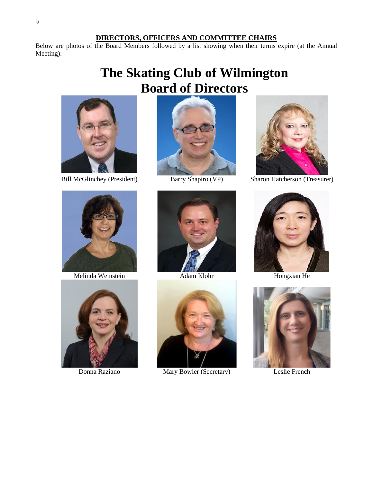#### **DIRECTORS, OFFICERS AND COMMITTEE CHAIRS**

Below are photos of the Board Members followed by a list showing when their terms expire (at the Annual Meeting):

# **The Skating Club of Wilmington Board of Directors**





Melinda Weinstein



Donna Raziano





Adam Klohr



Mary Bowler (Secretary)



Bill McGlinchey (President) Barry Shapiro (VP) Sharon Hatcherson (Treasurer)



Hongxian He



Leslie French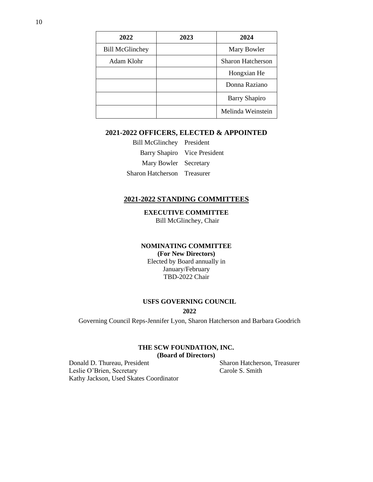| 2022                   | 2023 | 2024                     |
|------------------------|------|--------------------------|
| <b>Bill McGlinchey</b> |      | Mary Bowler              |
| Adam Klohr             |      | <b>Sharon Hatcherson</b> |
|                        |      | Hongxian He              |
|                        |      | Donna Raziano            |
|                        |      | <b>Barry Shapiro</b>     |
|                        |      | Melinda Weinstein        |

#### **2021-2022 OFFICERS, ELECTED & APPOINTED**

Bill McGlinchey President Barry Shapiro Vice President Mary Bowler Secretary Sharon Hatcherson Treasurer

#### **2021-2022 STANDING COMMITTEES**

**EXECUTIVE COMMITTEE** Bill McGlinchey, Chair

## **NOMINATING COMMITTEE**

**(For New Directors)** Elected by Board annually in January/February TBD-2022 Chair

## **USFS GOVERNING COUNCIL**

#### **2022**

Governing Council Reps-Jennifer Lyon, Sharon Hatcherson and Barbara Goodrich

#### **THE SCW FOUNDATION, INC. (Board of Directors)**

Donald D. Thureau, President Sharon Hatcherson, Treasurer Leslie O'Brien, Secretary Carole S. Smith Kathy Jackson, Used Skates Coordinator